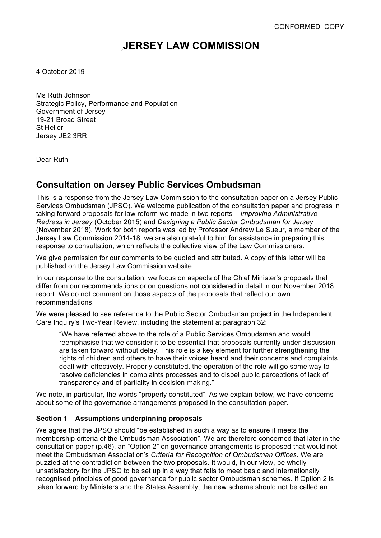# **JERSEY LAW COMMISSION**

4 October 2019

Ms Ruth Johnson Strategic Policy, Performance and Population Government of Jersey 19-21 Broad Street St Helier Jersey JE2 3RR

Dear Ruth

# **Consultation on Jersey Public Services Ombudsman**

This is a response from the Jersey Law Commission to the consultation paper on a Jersey Public Services Ombudsman (JPSO). We welcome publication of the consultation paper and progress in taking forward proposals for law reform we made in two reports – *Improving Administrative Redress in Jersey* (October 2015) and *Designing a Public Sector Ombudsman for Jersey* (November 2018). Work for both reports was led by Professor Andrew Le Sueur, a member of the Jersey Law Commission 2014-18; we are also grateful to him for assistance in preparing this response to consultation, which reflects the collective view of the Law Commissioners.

We give permission for our comments to be quoted and attributed. A copy of this letter will be published on the Jersey Law Commission website.

In our response to the consultation, we focus on aspects of the Chief Minister's proposals that differ from our recommendations or on questions not considered in detail in our November 2018 report. We do not comment on those aspects of the proposals that reflect our own recommendations.

We were pleased to see reference to the Public Sector Ombudsman project in the Independent Care Inquiry's Two-Year Review, including the statement at paragraph 32:

"We have referred above to the role of a Public Services Ombudsman and would reemphasise that we consider it to be essential that proposals currently under discussion are taken forward without delay. This role is a key element for further strengthening the rights of children and others to have their voices heard and their concerns and complaints dealt with effectively. Properly constituted, the operation of the role will go some way to resolve deficiencies in complaints processes and to dispel public perceptions of lack of transparency and of partiality in decision-making."

We note, in particular, the words "properly constituted". As we explain below, we have concerns about some of the governance arrangements proposed in the consultation paper.

### **Section 1 – Assumptions underpinning proposals**

We agree that the JPSO should "be established in such a way as to ensure it meets the membership criteria of the Ombudsman Association". We are therefore concerned that later in the consultation paper (p.46), an "Option 2" on governance arrangements is proposed that would not meet the Ombudsman Association's *Criteria for Recognition of Ombudsman Offices*. We are puzzled at the contradiction between the two proposals. It would, in our view, be wholly unsatisfactory for the JPSO to be set up in a way that fails to meet basic and internationally recognised principles of good governance for public sector Ombudsman schemes. If Option 2 is taken forward by Ministers and the States Assembly, the new scheme should not be called an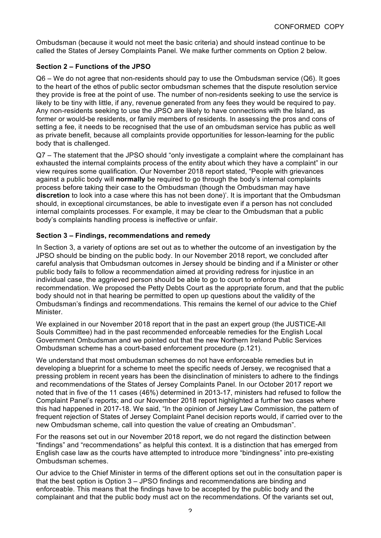Ombudsman (because it would not meet the basic criteria) and should instead continue to be called the States of Jersey Complaints Panel. We make further comments on Option 2 below.

# **Section 2 – Functions of the JPSO**

Q6 – We do not agree that non-residents should pay to use the Ombudsman service (Q6). It goes to the heart of the ethos of public sector ombudsman schemes that the dispute resolution service they provide is free at the point of use. The number of non-residents seeking to use the service is likely to be tiny with little, if any, revenue generated from any fees they would be required to pay. Any non-residents seeking to use the JPSO are likely to have connections with the Island, as former or would-be residents, or family members of residents. In assessing the pros and cons of setting a fee, it needs to be recognised that the use of an ombudsman service has public as well as private benefit, because all complaints provide opportunities for lesson-learning for the public body that is challenged.

Q7 – The statement that the JPSO should "only investigate a complaint where the complainant has exhausted the internal complaints process of the entity about which they have a complaint" in our view requires some qualification. Our November 2018 report stated, "People with grievances against a public body will **normally** be required to go through the body's internal complaints process before taking their case to the Ombudsman (though the Ombudsman may have **discretion** to look into a case where this has not been done)'. It is important that the Ombudsman should, in exceptional circumstances, be able to investigate even if a person has not concluded internal complaints processes. For example, it may be clear to the Ombudsman that a public body's complaints handling process is ineffective or unfair.

# **Section 3 – Findings, recommendations and remedy**

In Section 3, a variety of options are set out as to whether the outcome of an investigation by the JPSO should be binding on the public body. In our November 2018 report, we concluded after careful analysis that Ombudsman outcomes in Jersey should be binding and if a Minister or other public body fails to follow a recommendation aimed at providing redress for injustice in an individual case, the aggrieved person should be able to go to court to enforce that recommendation. We proposed the Petty Debts Court as the appropriate forum, and that the public body should not in that hearing be permitted to open up questions about the validity of the Ombudsman's findings and recommendations. This remains the kernel of our advice to the Chief Minister.

We explained in our November 2018 report that in the past an expert group (the JUSTICE-All Souls Committee) had in the past recommended enforceable remedies for the English Local Government Ombudsman and we pointed out that the new Northern Ireland Public Services Ombudsman scheme has a court-based enforcement procedure (p.121).

We understand that most ombudsman schemes do not have enforceable remedies but in developing a blueprint for a scheme to meet the specific needs of Jersey, we recognised that a pressing problem in recent years has been the disinclination of ministers to adhere to the findings and recommendations of the States of Jersey Complaints Panel. In our October 2017 report we noted that in five of the 11 cases (46%) determined in 2013-17, ministers had refused to follow the Complaint Panel's reports; and our November 2018 report highlighted a further two cases where this had happened in 2017-18. We said, "In the opinion of Jersey Law Commission, the pattern of frequent rejection of States of Jersey Complaint Panel decision reports would, if carried over to the new Ombudsman scheme, call into question the value of creating an Ombudsman".

For the reasons set out in our November 2018 report, we do not regard the distinction between "findings" and "recommendations" as helpful this context. It is a distinction that has emerged from English case law as the courts have attempted to introduce more "bindingness" into pre-existing Ombudsman schemes.

Our advice to the Chief Minister in terms of the different options set out in the consultation paper is that the best option is Option 3 – JPSO findings and recommendations are binding and enforceable. This means that the findings have to be accepted by the public body and the complainant and that the public body must act on the recommendations. Of the variants set out,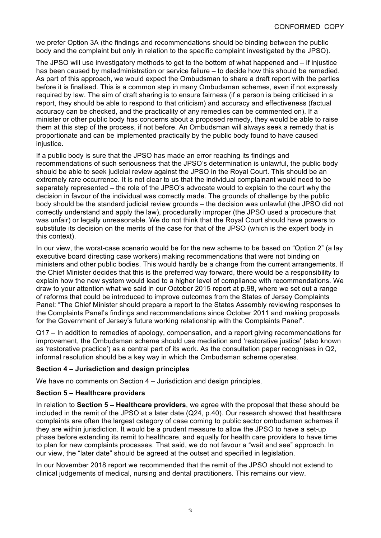we prefer Option 3A (the findings and recommendations should be binding between the public body and the complaint but only in relation to the specific complaint investigated by the JPSO).

The JPSO will use investigatory methods to get to the bottom of what happened and – if injustice has been caused by maladministration or service failure – to decide how this should be remedied. As part of this approach, we would expect the Ombudsman to share a draft report with the parties before it is finalised. This is a common step in many Ombudsman schemes, even if not expressly required by law. The aim of draft sharing is to ensure fairness (if a person is being criticised in a report, they should be able to respond to that criticism) and accuracy and effectiveness (factual accuracy can be checked, and the practicality of any remedies can be commented on). If a minister or other public body has concerns about a proposed remedy, they would be able to raise them at this step of the process, if not before. An Ombudsman will always seek a remedy that is proportionate and can be implemented practically by the public body found to have caused injustice.

If a public body is sure that the JPSO has made an error reaching its findings and recommendations of such seriousness that the JPSO's determination is unlawful, the public body should be able to seek judicial review against the JPSO in the Royal Court. This should be an extremely rare occurrence. It is not clear to us that the individual complainant would need to be separately represented – the role of the JPSO's advocate would to explain to the court why the decision in favour of the individual was correctly made. The grounds of challenge by the public body should be the standard judicial review grounds – the decision was unlawful (the JPSO did not correctly understand and apply the law), procedurally improper (the JPSO used a procedure that was unfair) or legally unreasonable. We do not think that the Royal Court should have powers to substitute its decision on the merits of the case for that of the JPSO (which is the expert body in this context).

In our view, the worst-case scenario would be for the new scheme to be based on "Option 2" (a lay executive board directing case workers) making recommendations that were not binding on ministers and other public bodies. This would hardly be a change from the current arrangements. If the Chief Minister decides that this is the preferred way forward, there would be a responsibility to explain how the new system would lead to a higher level of compliance with recommendations. We draw to your attention what we said in our October 2015 report at p.98, where we set out a range of reforms that could be introduced to improve outcomes from the States of Jersey Complaints Panel: "The Chief Minister should prepare a report to the States Assembly reviewing responses to the Complaints Panel's findings and recommendations since October 2011 and making proposals for the Government of Jersey's future working relationship with the Complaints Panel".

Q17 – In addition to remedies of apology, compensation, and a report giving recommendations for improvement, the Ombudsman scheme should use mediation and 'restorative justice' (also known as 'restorative practice') as a central part of its work. As the consultation paper recognises in Q2, informal resolution should be a key way in which the Ombudsman scheme operates.

### **Section 4 – Jurisdiction and design principles**

We have no comments on Section 4 – Jurisdiction and design principles.

### **Section 5 – Healthcare providers**

In relation to **Section 5 – Healthcare providers**, we agree with the proposal that these should be included in the remit of the JPSO at a later date (Q24, p.40). Our research showed that healthcare complaints are often the largest category of case coming to public sector ombudsman schemes if they are within jurisdiction. It would be a prudent measure to allow the JPSO to have a set-up phase before extending its remit to healthcare, and equally for health care providers to have time to plan for new complaints processes. That said, we do not favour a "wait and see" approach. In our view, the "later date" should be agreed at the outset and specified in legislation.

In our November 2018 report we recommended that the remit of the JPSO should not extend to clinical judgements of medical, nursing and dental practitioners. This remains our view.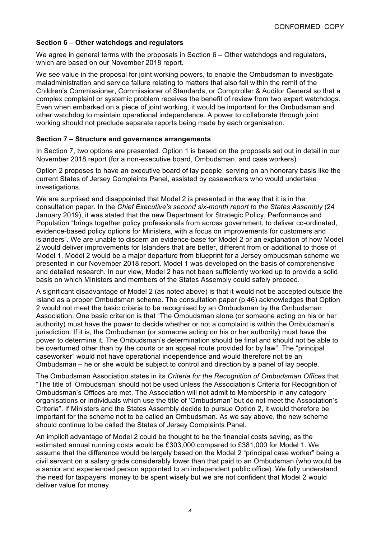## **Section 6 – Other watchdogs and regulators**

We agree in general terms with the proposals in Section 6 – Other watchdogs and regulators, which are based on our November 2018 report.

We see value in the proposal for joint working powers, to enable the Ombudsman to investigate maladministration and service failure relating to matters that also fall within the remit of the Children's Commissioner, Commissioner of Standards, or Comptroller & Auditor General so that a complex complaint or systemic problem receives the benefit of review from two expert watchdogs. Even when embarked on a piece of joint working, it would be important for the Ombudsman and other watchdog to maintain operational independence. A power to collaborate through joint working should not preclude separate reports being made by each organisation.

### **Section 7 – Structure and governance arrangements**

In Section 7, two options are presented. Option 1 is based on the proposals set out in detail in our November 2018 report (for a non-executive board, Ombudsman, and case workers).

Option 2 proposes to have an executive board of lay people, serving on an honorary basis like the current States of Jersey Complaints Panel, assisted by caseworkers who would undertake investigations.

We are surprised and disappointed that Model 2 is presented in the way that it is in the consultation paper. In the *Chief Executive's second six-month report to the States Assembly* (24 January 2019), it was stated that the new Department for Strategic Policy, Performance and Population "brings together policy professionals from across government, to deliver co-ordinated, evidence-based policy options for Ministers, with a focus on improvements for customers and islanders". We are unable to discern an evidence-base for Model 2 or an explanation of how Model 2 would deliver improvements for Islanders that are better, different from or additional to those of Model 1. Model 2 would be a major departure from blueprint for a Jersey ombudsman scheme we presented in our November 2018 report. Model 1 was developed on the basis of comprehensive and detailed research. In our view, Model 2 has not been sufficiently worked up to provide a solid basis on which Ministers and members of the States Assembly could safely proceed.

A significant disadvantage of Model 2 (as noted above) is that it would not be accepted outside the Island as a proper Ombudsman scheme. The consultation paper (p.46) acknowledges that Option 2 would not meet the basic criteria to be recognised by an Ombudsman by the Ombudsman Association. One basic criterion is that "The Ombudsman alone (or someone acting on his or her authority) must have the power to decide whether or not a complaint is within the Ombudsman's jurisdiction. If it is, the Ombudsman (or someone acting on his or her authority) must have the power to determine it. The Ombudsman's determination should be final and should not be able to be overturned other than by the courts or an appeal route provided for by law". The "principal caseworker" would not have operational independence and would therefore not be an Ombudsman – he or she would be subject to control and direction by a panel of lay people.

The Ombudsman Association states in its *Criteria for the Recognition of Ombudsman Offices* that "The title of 'Ombudsman' should not be used unless the Association's Criteria for Recognition of Ombudsman's Offices are met. The Association will not admit to Membership in any category organisations or individuals which use the title of 'Ombudsman' but do not meet the Association's Criteria". If Ministers and the States Assembly decide to pursue Option 2, it would therefore be important for the scheme not to be called an Ombudsman. As we say above, the new scheme should continue to be called the States of Jersey Complaints Panel.

An implicit advantage of Model 2 could be thought to be the financial costs saving, as the estimated annual running costs would be £303,000 compared to £381,000 for Model 1. We assume that the difference would be largely based on the Model 2 "principal case worker" being a civil servant on a salary grade considerably lower than that paid to an Ombudsman (who would be a senior and experienced person appointed to an independent public office). We fully understand the need for taxpayers' money to be spent wisely but we are not confident that Model 2 would deliver value for money.